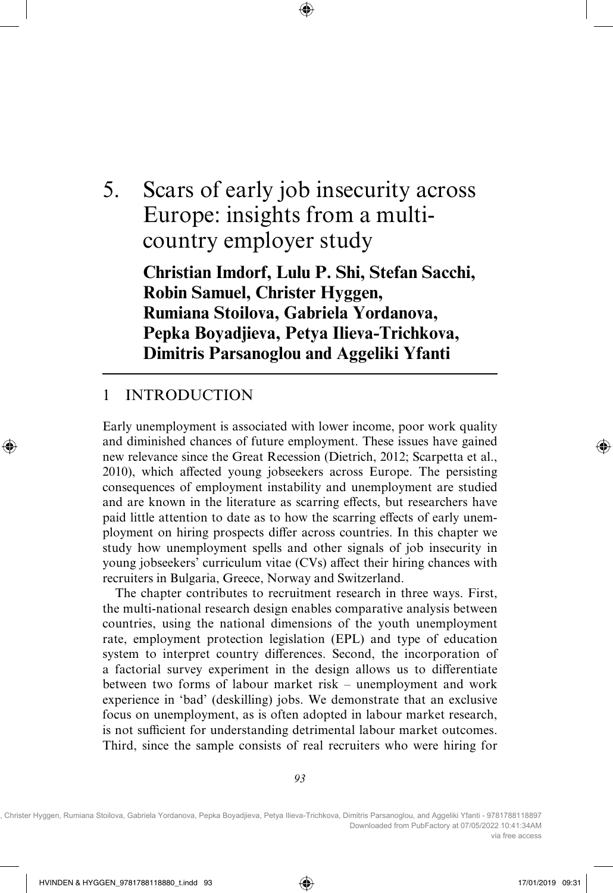5. Scars of early job insecurity across Europe: insights from a multicountry employer study

> **Christian Imdorf, Lulu P. Shi, Stefan Sacchi, Robin Samuel, Christer Hyggen, Rumiana Stoilova, Gabriela Yordanova, Pepka Boyadjieva, Petya Ilieva-Trichkova, Dimitris Parsanoglou and Aggeliki Yfanti**

## 1 INTRODUCTION

Early unemployment is associated with lower income, poor work quality and diminished chances of future employment. These issues have gained new relevance since the Great Recession (Dietrich, 2012; Scarpetta et al., 2010), which affected young jobseekers across Europe. The persisting consequences of employment instability and unemployment are studied and are known in the literature as scarring effects, but researchers have paid little attention to date as to how the scarring effects of early unemployment on hiring prospects differ across countries. In this chapter we study how unemployment spells and other signals of job insecurity in young jobseekers' curriculum vitae (CVs) affect their hiring chances with recruiters in Bulgaria, Greece, Norway and Switzerland.

The chapter contributes to recruitment research in three ways. First, the multi-national research design enables comparative analysis between countries, using the national dimensions of the youth unemployment rate, employment protection legislation (EPL) and type of education system to interpret country differences. Second, the incorporation of a factorial survey experiment in the design allows us to differentiate between two forms of labour market risk – unemployment and work experience in 'bad' (deskilling) jobs. We demonstrate that an exclusive focus on unemployment, as is often adopted in labour market research, is not sufficient for understanding detrimental labour market outcomes. Third, since the sample consists of real recruiters who were hiring for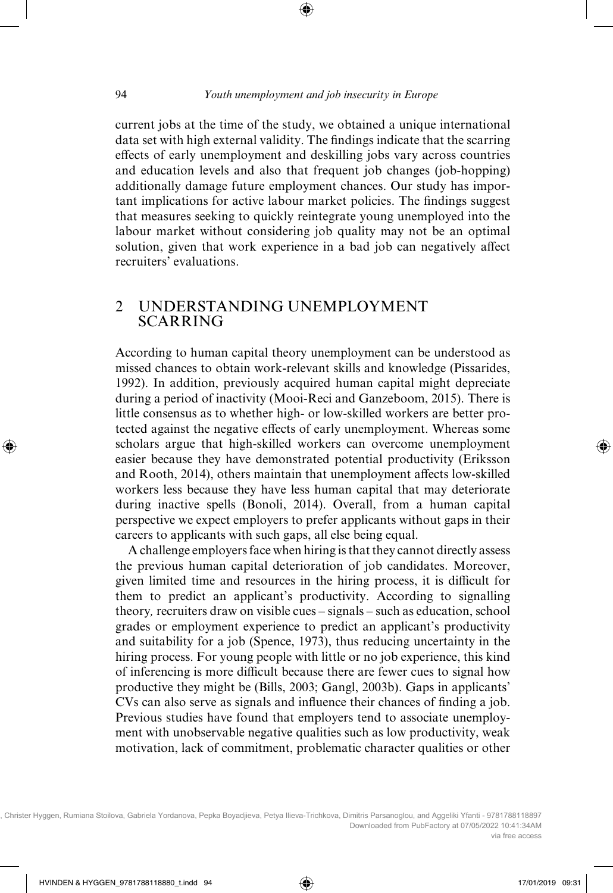current jobs at the time of the study, we obtained a unique international data set with high external validity. The findings indicate that the scarring effects of early unemployment and deskilling jobs vary across countries and education levels and also that frequent job changes (job-hopping) additionally damage future employment chances. Our study has important implications for active labour market policies. The findings suggest that measures seeking to quickly reintegrate young unemployed into the labour market without considering job quality may not be an optimal solution, given that work experience in a bad job can negatively affect recruiters' evaluations.

## 2 UNDERSTANDING UNEMPLOYMENT SCARRING

According to human capital theory unemployment can be understood as missed chances to obtain work-relevant skills and knowledge (Pissarides, 1992). In addition, previously acquired human capital might depreciate during a period of inactivity (Mooi-Reci and Ganzeboom, 2015). There is little consensus as to whether high- or low-skilled workers are better protected against the negative effects of early unemployment. Whereas some scholars argue that high-skilled workers can overcome unemployment easier because they have demonstrated potential productivity (Eriksson and Rooth, 2014), others maintain that unemployment affects low-skilled workers less because they have less human capital that may deteriorate during inactive spells (Bonoli, 2014). Overall, from a human capital perspective we expect employers to prefer applicants without gaps in their careers to applicants with such gaps, all else being equal.

A challenge employers face when hiring is that they cannot directly assess the previous human capital deterioration of job candidates. Moreover, given limited time and resources in the hiring process, it is difficult for them to predict an applicant's productivity. According to signalling theory*,* recruiters draw on visible cues – signals – such as education, school grades or employment experience to predict an applicant's productivity and suitability for a job (Spence, 1973), thus reducing uncertainty in the hiring process. For young people with little or no job experience, this kind of inferencing is more difficult because there are fewer cues to signal how productive they might be (Bills, 2003; Gangl, 2003b). Gaps in applicants' CVs can also serve as signals and influence their chances of finding a job. Previous studies have found that employers tend to associate unemployment with unobservable negative qualities such as low productivity, weak motivation, lack of commitment, problematic character qualities or other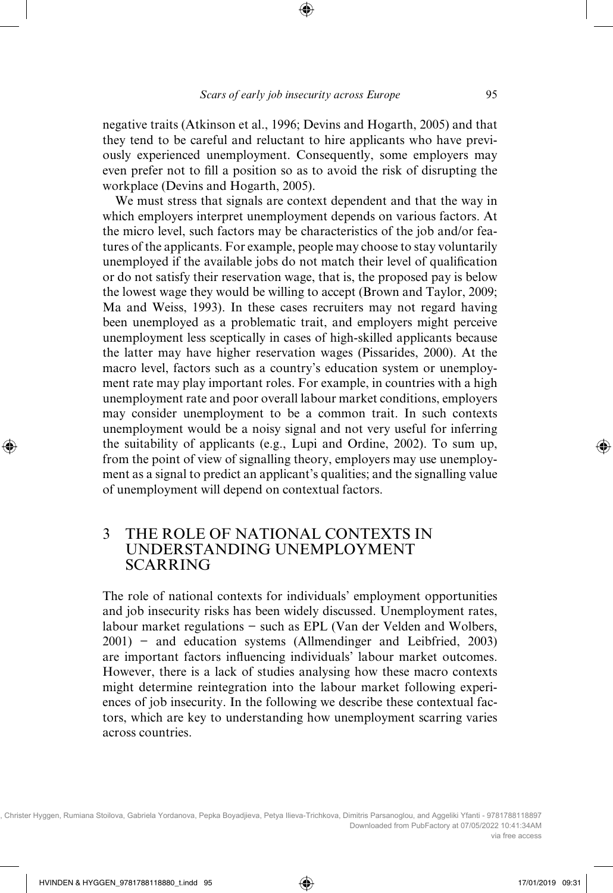negative traits (Atkinson et al., 1996; Devins and Hogarth, 2005) and that they tend to be careful and reluctant to hire applicants who have previously experienced unemployment. Consequently, some employers may even prefer not to fill a position so as to avoid the risk of disrupting the workplace (Devins and Hogarth, 2005).

We must stress that signals are context dependent and that the way in which employers interpret unemployment depends on various factors. At the micro level, such factors may be characteristics of the job and/or features of the applicants. For example, people may choose to stay voluntarily unemployed if the available jobs do not match their level of qualification or do not satisfy their reservation wage, that is, the proposed pay is below the lowest wage they would be willing to accept (Brown and Taylor, 2009; Ma and Weiss, 1993). In these cases recruiters may not regard having been unemployed as a problematic trait, and employers might perceive unemployment less sceptically in cases of high-skilled applicants because the latter may have higher reservation wages (Pissarides, 2000). At the macro level, factors such as a country's education system or unemployment rate may play important roles. For example, in countries with a high unemployment rate and poor overall labour market conditions, employers may consider unemployment to be a common trait. In such contexts unemployment would be a noisy signal and not very useful for inferring the suitability of applicants (e.g., Lupi and Ordine, 2002). To sum up, from the point of view of signalling theory, employers may use unemployment as a signal to predict an applicant's qualities; and the signalling value of unemployment will depend on contextual factors.

## 3 THE ROLE OF NATIONAL CONTEXTS IN UNDERSTANDING UNEMPLOYMENT SCARRING

The role of national contexts for individuals' employment opportunities and job insecurity risks has been widely discussed. Unemployment rates, labour market regulations − such as EPL (Van der Velden and Wolbers, 2001) – and education systems (Allmendinger and Leibfried, 2003) are important factors influencing individuals' labour market outcomes. However, there is a lack of studies analysing how these macro contexts might determine reintegration into the labour market following experiences of job insecurity. In the following we describe these contextual factors, which are key to understanding how unemployment scarring varies across countries.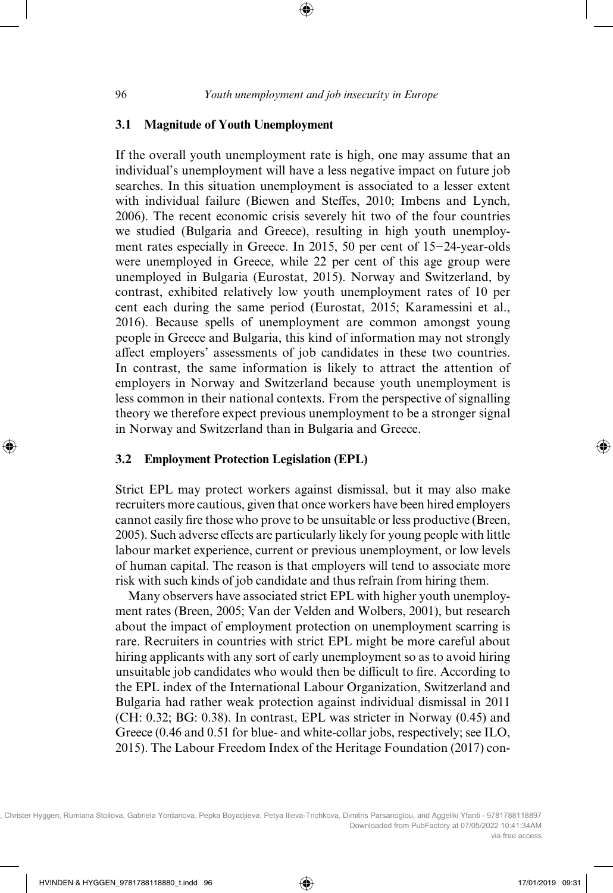#### **3.1 Magnitude of Youth Unemployment**

If the overall youth unemployment rate is high, one may assume that an individual's unemployment will have a less negative impact on future job searches. In this situation unemployment is associated to a lesser extent with individual failure (Biewen and Steffes, 2010; Imbens and Lynch, 2006). The recent economic crisis severely hit two of the four countries we studied (Bulgaria and Greece), resulting in high youth unemployment rates especially in Greece. In 2015, 50 per cent of 15−24-year-olds were unemployed in Greece, while 22 per cent of this age group were unemployed in Bulgaria (Eurostat, 2015). Norway and Switzerland, by contrast, exhibited relatively low youth unemployment rates of 10 per cent each during the same period (Eurostat, 2015; Karamessini et al., 2016). Because spells of unemployment are common amongst young people in Greece and Bulgaria, this kind of information may not strongly affect employers' assessments of job candidates in these two countries. In contrast, the same information is likely to attract the attention of employers in Norway and Switzerland because youth unemployment is less common in their national contexts. From the perspective of signalling theory we therefore expect previous unemployment to be a stronger signal in Norway and Switzerland than in Bulgaria and Greece.

#### **3.2 Employment Protection Legislation (EPL)**

Strict EPL may protect workers against dismissal, but it may also make recruiters more cautious, given that once workers have been hired employers cannot easily fire those who prove to be unsuitable or less productive (Breen, 2005). Such adverse effects are particularly likely for young people with little labour market experience, current or previous unemployment, or low levels of human capital. The reason is that employers will tend to associate more risk with such kinds of job candidate and thus refrain from hiring them.

Many observers have associated strict EPL with higher youth unemployment rates (Breen, 2005; Van der Velden and Wolbers, 2001), but research about the impact of employment protection on unemployment scarring is rare. Recruiters in countries with strict EPL might be more careful about hiring applicants with any sort of early unemployment so as to avoid hiring unsuitable job candidates who would then be difficult to fire. According to the EPL index of the International Labour Organization, Switzerland and Bulgaria had rather weak protection against individual dismissal in 2011 (CH: 0.32; BG: 0.38). In contrast, EPL was stricter in Norway (0.45) and Greece (0.46 and 0.51 for blue- and white-collar jobs, respectively; see ILO, 2015). The Labour Freedom Index of the Heritage Foundation (2017) con-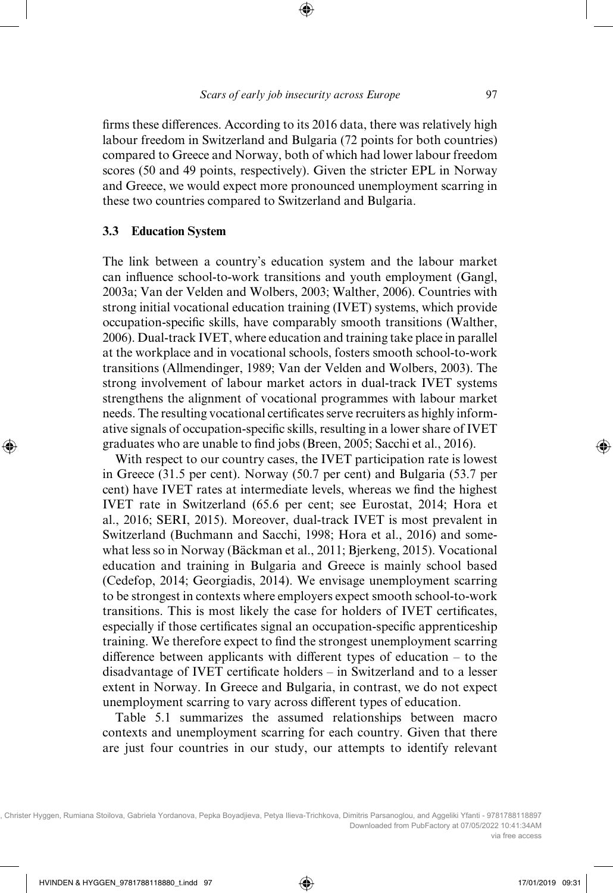firms these differences. According to its 2016 data, there was relatively high labour freedom in Switzerland and Bulgaria (72 points for both countries) compared to Greece and Norway, both of which had lower labour freedom scores (50 and 49 points, respectively). Given the stricter EPL in Norway and Greece, we would expect more pronounced unemployment scarring in these two countries compared to Switzerland and Bulgaria.

#### **3.3 Education System**

The link between a country's education system and the labour market can influence school-to-work transitions and youth employment (Gangl, 2003a; Van der Velden and Wolbers, 2003; Walther, 2006). Countries with strong initial vocational education training (IVET) systems, which provide occupation-specific skills, have comparably smooth transitions (Walther, 2006). Dual-track IVET, where education and training take place in parallel at the workplace and in vocational schools, fosters smooth school-to-work transitions (Allmendinger, 1989; Van der Velden and Wolbers, 2003). The strong involvement of labour market actors in dual-track IVET systems strengthens the alignment of vocational programmes with labour market needs. The resulting vocational certificates serve recruiters as highly informative signals of occupation-specific skills, resulting in a lower share of IVET graduates who are unable to find jobs (Breen, 2005; Sacchi et al., 2016).

With respect to our country cases, the IVET participation rate is lowest in Greece (31.5 per cent). Norway (50.7 per cent) and Bulgaria (53.7 per cent) have IVET rates at intermediate levels, whereas we find the highest IVET rate in Switzerland (65.6 per cent; see Eurostat, 2014; Hora et al., 2016; SERI, 2015). Moreover, dual-track IVET is most prevalent in Switzerland (Buchmann and Sacchi, 1998; Hora et al., 2016) and somewhat less so in Norway (Bäckman et al., 2011; Bjerkeng, 2015). Vocational education and training in Bulgaria and Greece is mainly school based (Cedefop, 2014; Georgiadis, 2014). We envisage unemployment scarring to be strongest in contexts where employers expect smooth school-to-work transitions. This is most likely the case for holders of IVET certificates, especially if those certificates signal an occupation-specific apprenticeship training. We therefore expect to find the strongest unemployment scarring difference between applicants with different types of education – to the disadvantage of IVET certificate holders – in Switzerland and to a lesser extent in Norway. In Greece and Bulgaria, in contrast, we do not expect unemployment scarring to vary across different types of education.

Table 5.1 summarizes the assumed relationships between macro contexts and unemployment scarring for each country. Given that there are just four countries in our study, our attempts to identify relevant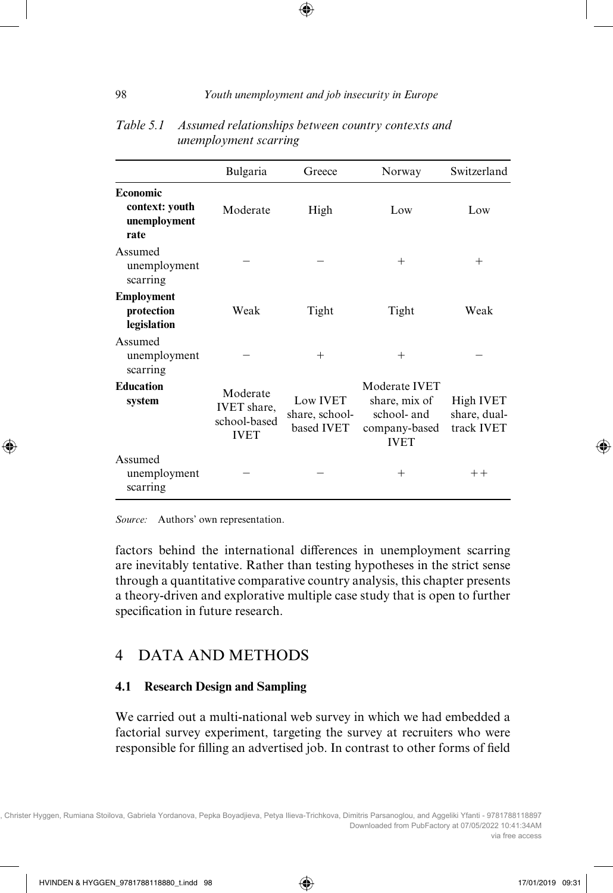|                                                           | Bulgaria                                                      | Greece                                          | Norway                                                                               | Switzerland                             |
|-----------------------------------------------------------|---------------------------------------------------------------|-------------------------------------------------|--------------------------------------------------------------------------------------|-----------------------------------------|
| <b>Economic</b><br>context: youth<br>unemployment<br>rate | Moderate                                                      | High                                            | Low                                                                                  | Low                                     |
| Assumed<br>unemployment<br>scarring                       |                                                               |                                                 | $^{+}$                                                                               | $^{+}$                                  |
| <b>Employment</b><br>protection<br>legislation            | Weak                                                          | Tight                                           | Tight                                                                                | Weak                                    |
| Assumed<br>unemployment<br>scarring                       |                                                               | $^{+}$                                          | $^{+}$                                                                               |                                         |
| <b>Education</b><br>system                                | Moderate<br><b>IVET</b> share,<br>school-based<br><b>IVET</b> | Low <b>IVET</b><br>share, school-<br>based IVET | Moderate <b>IVET</b><br>share, mix of<br>school- and<br>company-based<br><b>IVET</b> | High IVET<br>share, dual-<br>track IVET |
| Assumed<br>unemployment<br>scarring                       |                                                               |                                                 | $^{+}$                                                                               | $++$                                    |

*Table 5.1 Assumed relationships between country contexts and unemployment scarring*

*Source:* Authors' own representation.

factors behind the international differences in unemployment scarring are inevitably tentative. Rather than testing hypotheses in the strict sense through a quantitative comparative country analysis, this chapter presents a theory-driven and explorative multiple case study that is open to further specification in future research.

# 4 DATA AND METHODS

### **4.1 Research Design and Sampling**

We carried out a multi-national web survey in which we had embedded a factorial survey experiment, targeting the survey at recruiters who were responsible for filling an advertised job. In contrast to other forms of field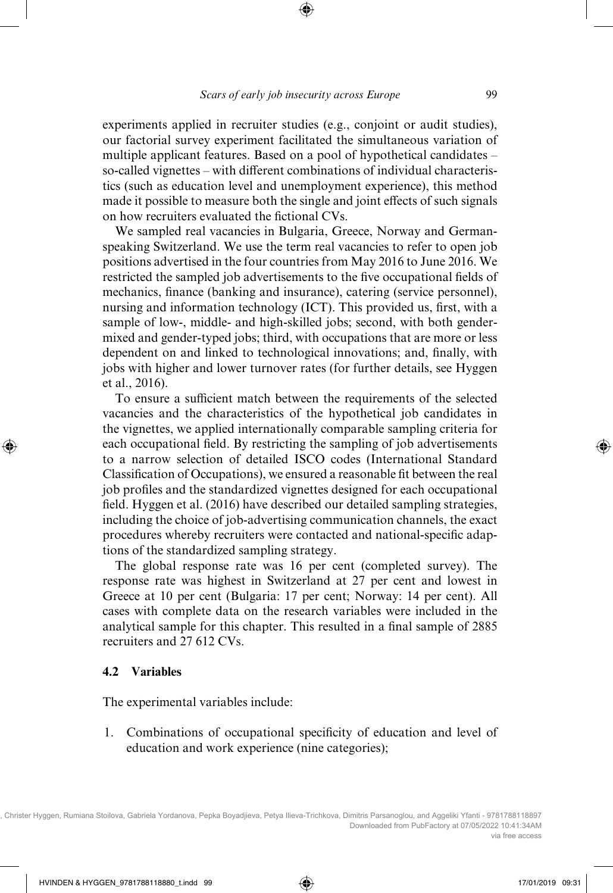experiments applied in recruiter studies (e.g., conjoint or audit studies), our factorial survey experiment facilitated the simultaneous variation of multiple applicant features. Based on a pool of hypothetical candidates – so-called vignettes – with different combinations of individual characteristics (such as education level and unemployment experience), this method made it possible to measure both the single and joint effects of such signals on how recruiters evaluated the fictional CVs.

We sampled real vacancies in Bulgaria, Greece, Norway and Germanspeaking Switzerland. We use the term real vacancies to refer to open job positions advertised in the four countries from May 2016 to June 2016. We restricted the sampled job advertisements to the five occupational fields of mechanics, finance (banking and insurance), catering (service personnel), nursing and information technology (ICT). This provided us, first, with a sample of low-, middle- and high-skilled jobs; second, with both gendermixed and gender-typed jobs; third, with occupations that are more or less dependent on and linked to technological innovations; and, finally, with jobs with higher and lower turnover rates (for further details, see Hyggen et al., 2016).

To ensure a sufficient match between the requirements of the selected vacancies and the characteristics of the hypothetical job candidates in the vignettes, we applied internationally comparable sampling criteria for each occupational field. By restricting the sampling of job advertisements to a narrow selection of detailed ISCO codes (International Standard Classification of Occupations), we ensured a reasonable fit between the real job profiles and the standardized vignettes designed for each occupational field. Hyggen et al. (2016) have described our detailed sampling strategies, including the choice of job-advertising communication channels, the exact procedures whereby recruiters were contacted and national-specific adaptions of the standardized sampling strategy.

The global response rate was 16 per cent (completed survey). The response rate was highest in Switzerland at 27 per cent and lowest in Greece at 10 per cent (Bulgaria: 17 per cent; Norway: 14 per cent). All cases with complete data on the research variables were included in the analytical sample for this chapter. This resulted in a final sample of 2885 recruiters and 27 612 CVs.

### **4.2 Variables**

The experimental variables include:

1. Combinations of occupational specificity of education and level of education and work experience (nine categories);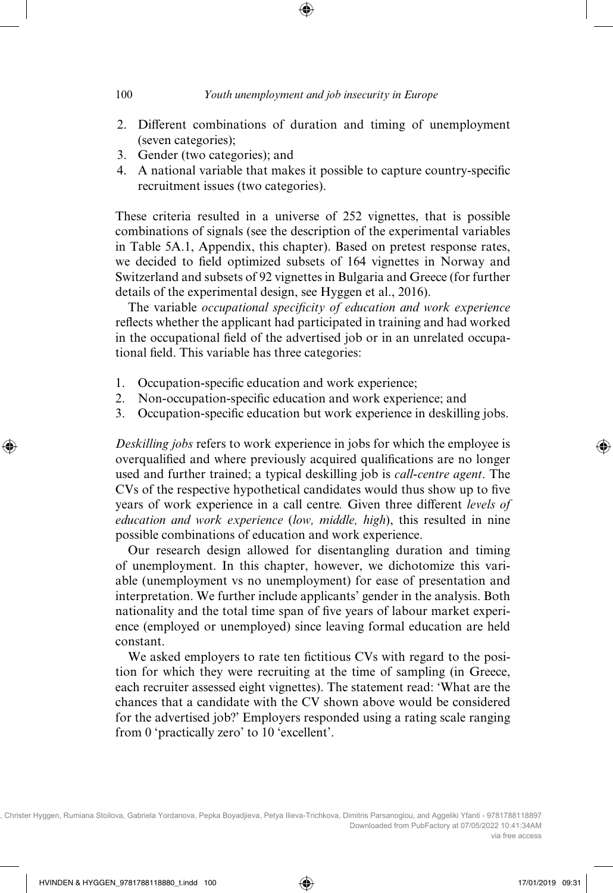- 2. Different combinations of duration and timing of unemployment (seven categories);
- 3. Gender (two categories); and
- 4. A national variable that makes it possible to capture country-specific recruitment issues (two categories).

These criteria resulted in a universe of 252 vignettes, that is possible combinations of signals (see the description of the experimental variables in Table 5A.1, Appendix, this chapter). Based on pretest response rates, we decided to field optimized subsets of 164 vignettes in Norway and Switzerland and subsets of 92 vignettes in Bulgaria and Greece (for further details of the experimental design, see Hyggen et al., 2016).

The variable *occupational specificity of education and work experience* reflects whether the applicant had participated in training and had worked in the occupational field of the advertised job or in an unrelated occupational field. This variable has three categories:

- 1. Occupation-specific education and work experience;
- 2. Non-occupation-specific education and work experience; and
- 3. Occupation-specific education but work experience in deskilling jobs.

*Deskilling jobs* refers to work experience in jobs for which the employee is overqualified and where previously acquired qualifications are no longer used and further trained; a typical deskilling job is *call-centre agent*. The CVs of the respective hypothetical candidates would thus show up to five years of work experience in a call centre*.* Given three different *levels of education and work experience* (*low, middle, high*), this resulted in nine possible combinations of education and work experience.

Our research design allowed for disentangling duration and timing of unemployment. In this chapter, however, we dichotomize this variable (unemployment vs no unemployment) for ease of presentation and interpretation. We further include applicants' gender in the analysis. Both nationality and the total time span of five years of labour market experience (employed or unemployed) since leaving formal education are held constant.

We asked employers to rate ten fictitious CVs with regard to the position for which they were recruiting at the time of sampling (in Greece, each recruiter assessed eight vignettes). The statement read: 'What are the chances that a candidate with the CV shown above would be considered for the advertised job?' Employers responded using a rating scale ranging from 0 'practically zero' to 10 'excellent'.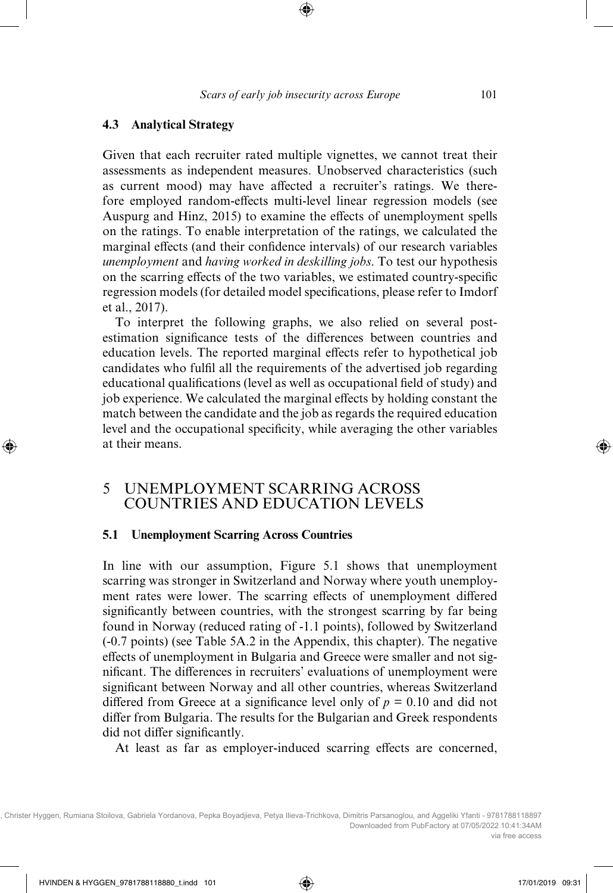### **4.3 Analytical Strategy**

Given that each recruiter rated multiple vignettes, we cannot treat their assessments as independent measures. Unobserved characteristics (such as current mood) may have affected a recruiter's ratings. We therefore employed random-effects multi-level linear regression models (see Auspurg and Hinz, 2015) to examine the effects of unemployment spells on the ratings. To enable interpretation of the ratings, we calculated the marginal effects (and their confidence intervals) of our research variables *unemployment* and *having worked in deskilling jobs*. To test our hypothesis on the scarring effects of the two variables, we estimated country-specific regression models (for detailed model specifications, please refer to Imdorf et al., 2017).

To interpret the following graphs, we also relied on several postestimation significance tests of the differences between countries and education levels. The reported marginal effects refer to hypothetical job candidates who fulfil all the requirements of the advertised job regarding educational qualifications (level as well as occupational field of study) and job experience. We calculated the marginal effects by holding constant the match between the candidate and the job as regards the required education level and the occupational specificity, while averaging the other variables at their means.

## 5 UNEMPLOYMENT SCARRING ACROSS COUNTRIES AND EDUCATION LEVELS

#### **5.1 Unemployment Scarring Across Countries**

In line with our assumption, Figure 5.1 shows that unemployment scarring was stronger in Switzerland and Norway where youth unemployment rates were lower. The scarring effects of unemployment differed significantly between countries, with the strongest scarring by far being found in Norway (reduced rating of -1.1 points), followed by Switzerland (-0.7 points) (see Table 5A.2 in the Appendix, this chapter). The negative effects of unemployment in Bulgaria and Greece were smaller and not significant. The differences in recruiters' evaluations of unemployment were significant between Norway and all other countries, whereas Switzerland differed from Greece at a significance level only of  $p = 0.10$  and did not differ from Bulgaria. The results for the Bulgarian and Greek respondents did not differ significantly.

At least as far as employer-induced scarring effects are concerned,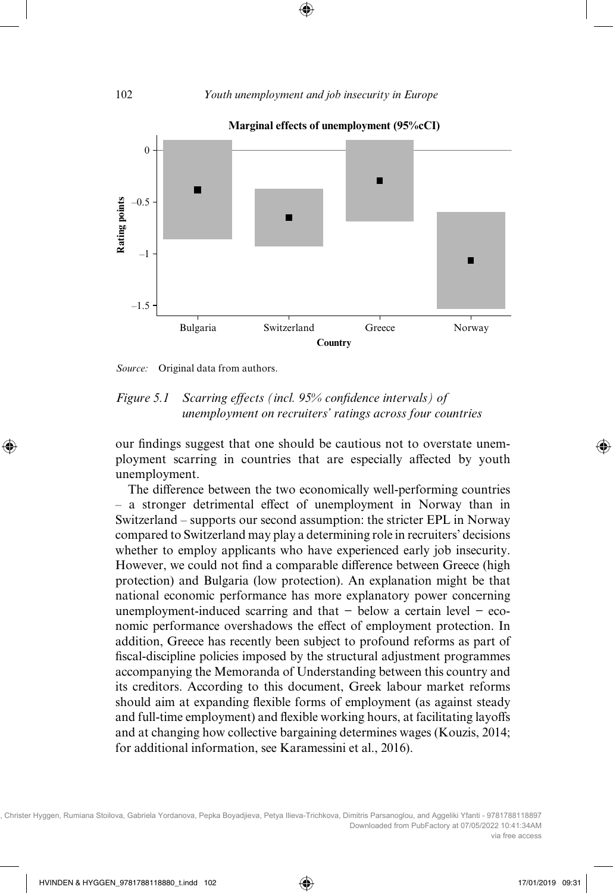

**Marginal effects of unemployment (95%cCI)**

*Source:* Original data from authors.

### *Figure 5.1 Scarring effects (incl. 95% confidence intervals) of unemployment on recruiters' ratings across four countries*

our findings suggest that one should be cautious not to overstate unemployment scarring in countries that are especially affected by youth unemployment.

The difference between the two economically well-performing countries – a stronger detrimental effect of unemployment in Norway than in Switzerland – supports our second assumption: the stricter EPL in Norway compared to Switzerland may play a determining role in recruiters' decisions whether to employ applicants who have experienced early job insecurity. However, we could not find a comparable difference between Greece (high protection) and Bulgaria (low protection). An explanation might be that national economic performance has more explanatory power concerning unemployment-induced scarring and that − below a certain level − economic performance overshadows the effect of employment protection. In addition, Greece has recently been subject to profound reforms as part of fiscal-discipline policies imposed by the structural adjustment programmes accompanying the Memoranda of Understanding between this country and its creditors. According to this document, Greek labour market reforms should aim at expanding flexible forms of employment (as against steady and full-time employment) and flexible working hours, at facilitating layoffs and at changing how collective bargaining determines wages (Kouzis, 2014; for additional information, see Karamessini et al., 2016).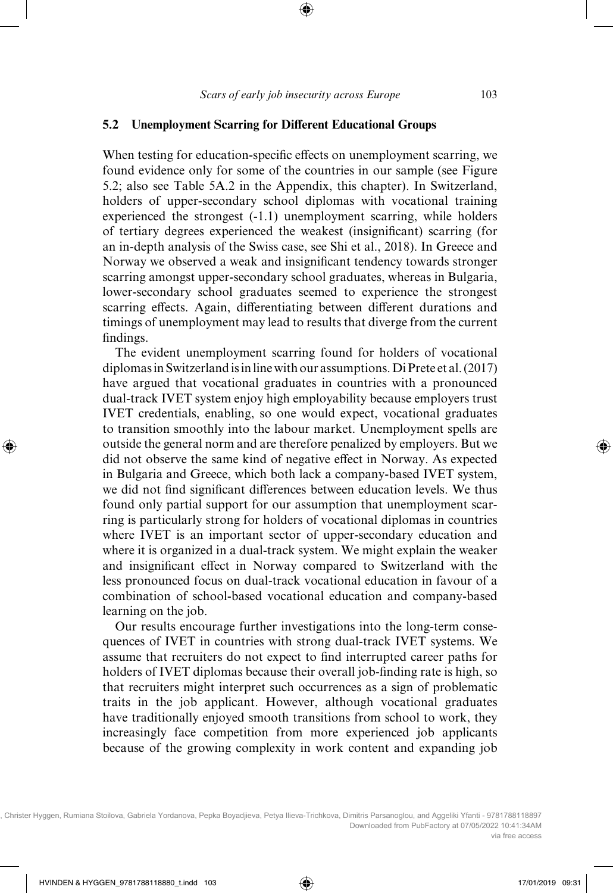#### **5.2 Unemployment Scarring for Different Educational Groups**

When testing for education-specific effects on unemployment scarring, we found evidence only for some of the countries in our sample (see Figure 5.2; also see Table 5A.2 in the Appendix, this chapter). In Switzerland, holders of upper-secondary school diplomas with vocational training experienced the strongest (-1.1) unemployment scarring, while holders of tertiary degrees experienced the weakest (insignificant) scarring (for an in-depth analysis of the Swiss case, see Shi et al., 2018). In Greece and Norway we observed a weak and insignificant tendency towards stronger scarring amongst upper-secondary school graduates, whereas in Bulgaria, lower-secondary school graduates seemed to experience the strongest scarring effects. Again, differentiating between different durations and timings of unemployment may lead to results that diverge from the current findings.

The evident unemployment scarring found for holders of vocational diplomas in Switzerland is in line with our assumptions. Di Prete et al. (2017) have argued that vocational graduates in countries with a pronounced dual-track IVET system enjoy high employability because employers trust IVET credentials, enabling, so one would expect, vocational graduates to transition smoothly into the labour market. Unemployment spells are outside the general norm and are therefore penalized by employers. But we did not observe the same kind of negative effect in Norway. As expected in Bulgaria and Greece, which both lack a company-based IVET system, we did not find significant differences between education levels. We thus found only partial support for our assumption that unemployment scarring is particularly strong for holders of vocational diplomas in countries where IVET is an important sector of upper-secondary education and where it is organized in a dual-track system. We might explain the weaker and insignificant effect in Norway compared to Switzerland with the less pronounced focus on dual-track vocational education in favour of a combination of school-based vocational education and company-based learning on the job.

Our results encourage further investigations into the long-term consequences of IVET in countries with strong dual-track IVET systems. We assume that recruiters do not expect to find interrupted career paths for holders of IVET diplomas because their overall job-finding rate is high, so that recruiters might interpret such occurrences as a sign of problematic traits in the job applicant. However, although vocational graduates have traditionally enjoyed smooth transitions from school to work, they increasingly face competition from more experienced job applicants because of the growing complexity in work content and expanding job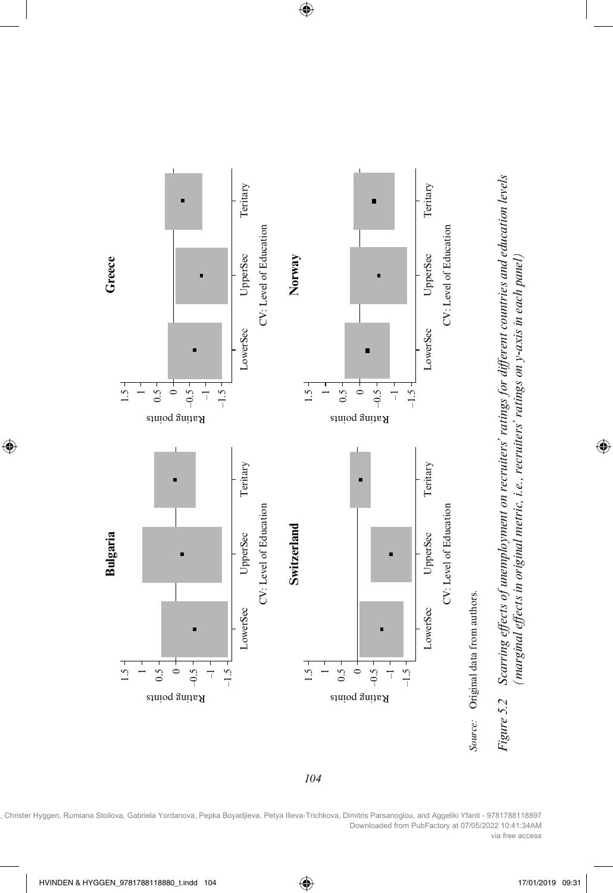



### *104*

yggen, Rumiana Stoilova, Gabriela Yordanova, Pepka Boyadjieva, Petya Ilieva-Trichkova, Dimitris Parsanoglou, and Aggeliki Yfanti - 9781788118897 Downloaded from PubFactory at 07/05/2022 10:41:34AM via free access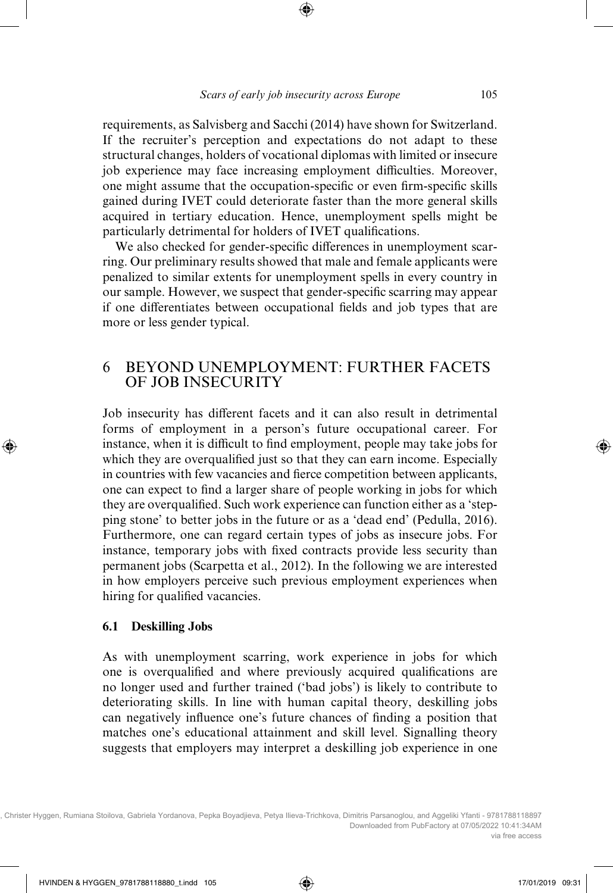requirements, as Salvisberg and Sacchi (2014) have shown for Switzerland. If the recruiter's perception and expectations do not adapt to these structural changes, holders of vocational diplomas with limited or insecure job experience may face increasing employment difficulties. Moreover, one might assume that the occupation-specific or even firm-specific skills gained during IVET could deteriorate faster than the more general skills acquired in tertiary education. Hence, unemployment spells might be particularly detrimental for holders of IVET qualifications.

We also checked for gender-specific differences in unemployment scarring. Our preliminary results showed that male and female applicants were penalized to similar extents for unemployment spells in every country in our sample. However, we suspect that gender-specific scarring may appear if one differentiates between occupational fields and job types that are more or less gender typical.

## 6 BEYOND UNEMPLOYMENT: FURTHER FACETS OF JOB INSECURITY

Job insecurity has different facets and it can also result in detrimental forms of employment in a person's future occupational career. For instance, when it is difficult to find employment, people may take jobs for which they are overqualified just so that they can earn income. Especially in countries with few vacancies and fierce competition between applicants, one can expect to find a larger share of people working in jobs for which they are overqualified. Such work experience can function either as a 'stepping stone' to better jobs in the future or as a 'dead end' (Pedulla, 2016). Furthermore, one can regard certain types of jobs as insecure jobs. For instance, temporary jobs with fixed contracts provide less security than permanent jobs (Scarpetta et al., 2012). In the following we are interested in how employers perceive such previous employment experiences when hiring for qualified vacancies.

### **6.1 Deskilling Jobs**

As with unemployment scarring, work experience in jobs for which one is overqualified and where previously acquired qualifications are no longer used and further trained ('bad jobs') is likely to contribute to deteriorating skills. In line with human capital theory, deskilling jobs can negatively influence one's future chances of finding a position that matches one's educational attainment and skill level. Signalling theory suggests that employers may interpret a deskilling job experience in one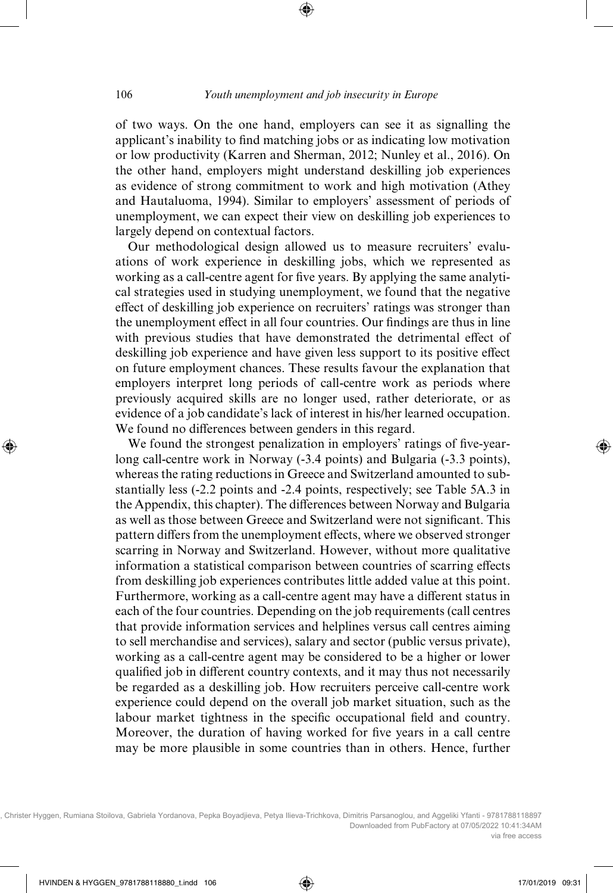of two ways. On the one hand, employers can see it as signalling the applicant's inability to find matching jobs or as indicating low motivation or low productivity (Karren and Sherman, 2012; Nunley et al., 2016). On the other hand, employers might understand deskilling job experiences as evidence of strong commitment to work and high motivation (Athey and Hautaluoma, 1994). Similar to employers' assessment of periods of unemployment, we can expect their view on deskilling job experiences to largely depend on contextual factors.

Our methodological design allowed us to measure recruiters' evaluations of work experience in deskilling jobs, which we represented as working as a call-centre agent for five years. By applying the same analytical strategies used in studying unemployment, we found that the negative effect of deskilling job experience on recruiters' ratings was stronger than the unemployment effect in all four countries. Our findings are thus in line with previous studies that have demonstrated the detrimental effect of deskilling job experience and have given less support to its positive effect on future employment chances. These results favour the explanation that employers interpret long periods of call-centre work as periods where previously acquired skills are no longer used, rather deteriorate, or as evidence of a job candidate's lack of interest in his/her learned occupation. We found no differences between genders in this regard.

We found the strongest penalization in employers' ratings of five-yearlong call-centre work in Norway (-3.4 points) and Bulgaria (-3.3 points), whereas the rating reductions in Greece and Switzerland amounted to substantially less (-2.2 points and -2.4 points, respectively; see Table 5A.3 in the Appendix, this chapter). The differences between Norway and Bulgaria as well as those between Greece and Switzerland were not significant. This pattern differs from the unemployment effects, where we observed stronger scarring in Norway and Switzerland. However, without more qualitative information a statistical comparison between countries of scarring effects from deskilling job experiences contributes little added value at this point. Furthermore, working as a call-centre agent may have a different status in each of the four countries. Depending on the job requirements (call centres that provide information services and helplines versus call centres aiming to sell merchandise and services), salary and sector (public versus private), working as a call-centre agent may be considered to be a higher or lower qualified job in different country contexts, and it may thus not necessarily be regarded as a deskilling job. How recruiters perceive call-centre work experience could depend on the overall job market situation, such as the labour market tightness in the specific occupational field and country. Moreover, the duration of having worked for five years in a call centre may be more plausible in some countries than in others. Hence, further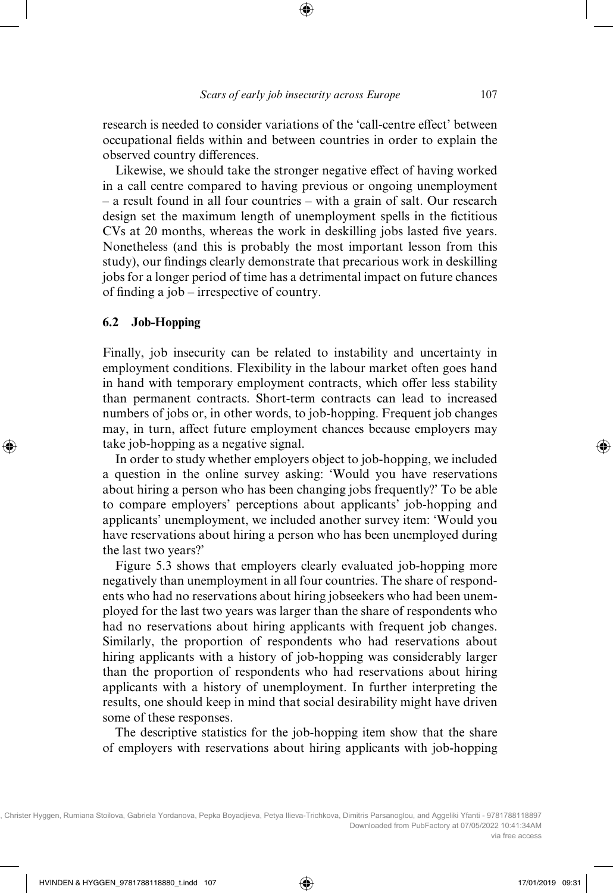research is needed to consider variations of the 'call-centre effect' between occupational fields within and between countries in order to explain the observed country differences.

Likewise, we should take the stronger negative effect of having worked in a call centre compared to having previous or ongoing unemployment – a result found in all four countries – with a grain of salt. Our research design set the maximum length of unemployment spells in the fictitious CVs at 20 months, whereas the work in deskilling jobs lasted five years. Nonetheless (and this is probably the most important lesson from this study), our findings clearly demonstrate that precarious work in deskilling jobs for a longer period of time has a detrimental impact on future chances of finding a job – irrespective of country.

#### **6.2 Job-Hopping**

Finally, job insecurity can be related to instability and uncertainty in employment conditions. Flexibility in the labour market often goes hand in hand with temporary employment contracts, which offer less stability than permanent contracts. Short-term contracts can lead to increased numbers of jobs or, in other words, to job-hopping. Frequent job changes may, in turn, affect future employment chances because employers may take job-hopping as a negative signal.

In order to study whether employers object to job-hopping, we included a question in the online survey asking: 'Would you have reservations about hiring a person who has been changing jobs frequently?' To be able to compare employers' perceptions about applicants' job-hopping and applicants' unemployment, we included another survey item: 'Would you have reservations about hiring a person who has been unemployed during the last two years?'

Figure 5.3 shows that employers clearly evaluated job-hopping more negatively than unemployment in all four countries. The share of respondents who had no reservations about hiring jobseekers who had been unemployed for the last two years was larger than the share of respondents who had no reservations about hiring applicants with frequent job changes. Similarly, the proportion of respondents who had reservations about hiring applicants with a history of job-hopping was considerably larger than the proportion of respondents who had reservations about hiring applicants with a history of unemployment. In further interpreting the results, one should keep in mind that social desirability might have driven some of these responses.

The descriptive statistics for the job-hopping item show that the share of employers with reservations about hiring applicants with job-hopping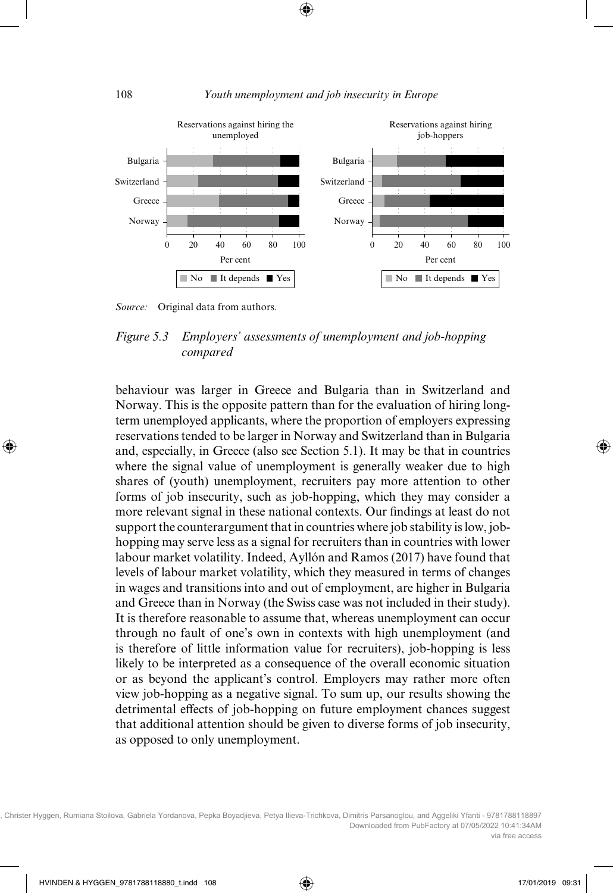

*Source:* Original data from authors.

### *Figure 5.3 Employers' assessments of unemployment and job-hopping compared*

behaviour was larger in Greece and Bulgaria than in Switzerland and Norway. This is the opposite pattern than for the evaluation of hiring longterm unemployed applicants, where the proportion of employers expressing reservations tended to be larger in Norway and Switzerland than in Bulgaria and, especially, in Greece (also see Section 5.1). It may be that in countries where the signal value of unemployment is generally weaker due to high shares of (youth) unemployment, recruiters pay more attention to other forms of job insecurity, such as job-hopping, which they may consider a more relevant signal in these national contexts. Our findings at least do not support the counterargument that in countries where job stability is low, jobhopping may serve less as a signal for recruiters than in countries with lower labour market volatility. Indeed, Ayllón and Ramos (2017) have found that levels of labour market volatility, which they measured in terms of changes in wages and transitions into and out of employment, are higher in Bulgaria and Greece than in Norway (the Swiss case was not included in their study). It is therefore reasonable to assume that, whereas unemployment can occur through no fault of one's own in contexts with high unemployment (and is therefore of little information value for recruiters), job-hopping is less likely to be interpreted as a consequence of the overall economic situation or as beyond the applicant's control. Employers may rather more often view job-hopping as a negative signal. To sum up, our results showing the detrimental effects of job-hopping on future employment chances suggest that additional attention should be given to diverse forms of job insecurity, as opposed to only unemployment.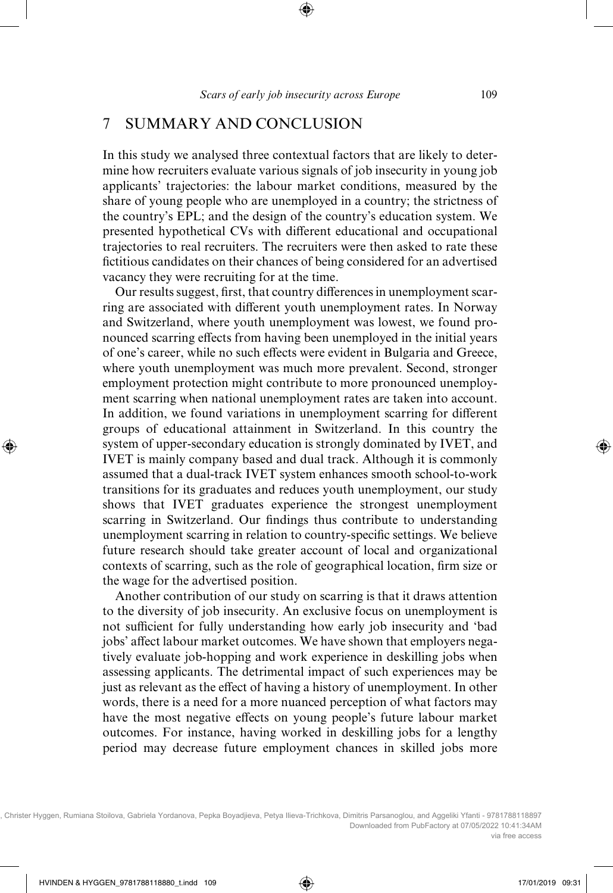## 7 SUMMARY AND CONCLUSION

In this study we analysed three contextual factors that are likely to determine how recruiters evaluate various signals of job insecurity in young job applicants' trajectories: the labour market conditions, measured by the share of young people who are unemployed in a country; the strictness of the country's EPL; and the design of the country's education system. We presented hypothetical CVs with different educational and occupational trajectories to real recruiters. The recruiters were then asked to rate these fictitious candidates on their chances of being considered for an advertised vacancy they were recruiting for at the time.

Our results suggest, first, that country differences in unemployment scarring are associated with different youth unemployment rates. In Norway and Switzerland, where youth unemployment was lowest, we found pronounced scarring effects from having been unemployed in the initial years of one's career, while no such effects were evident in Bulgaria and Greece, where youth unemployment was much more prevalent. Second, stronger employment protection might contribute to more pronounced unemployment scarring when national unemployment rates are taken into account. In addition, we found variations in unemployment scarring for different groups of educational attainment in Switzerland. In this country the system of upper-secondary education is strongly dominated by IVET, and IVET is mainly company based and dual track. Although it is commonly assumed that a dual-track IVET system enhances smooth school-to-work transitions for its graduates and reduces youth unemployment, our study shows that IVET graduates experience the strongest unemployment scarring in Switzerland. Our findings thus contribute to understanding unemployment scarring in relation to country-specific settings. We believe future research should take greater account of local and organizational contexts of scarring, such as the role of geographical location, firm size or the wage for the advertised position.

Another contribution of our study on scarring is that it draws attention to the diversity of job insecurity. An exclusive focus on unemployment is not sufficient for fully understanding how early job insecurity and 'bad jobs' affect labour market outcomes. We have shown that employers negatively evaluate job-hopping and work experience in deskilling jobs when assessing applicants. The detrimental impact of such experiences may be just as relevant as the effect of having a history of unemployment. In other words, there is a need for a more nuanced perception of what factors may have the most negative effects on young people's future labour market outcomes. For instance, having worked in deskilling jobs for a lengthy period may decrease future employment chances in skilled jobs more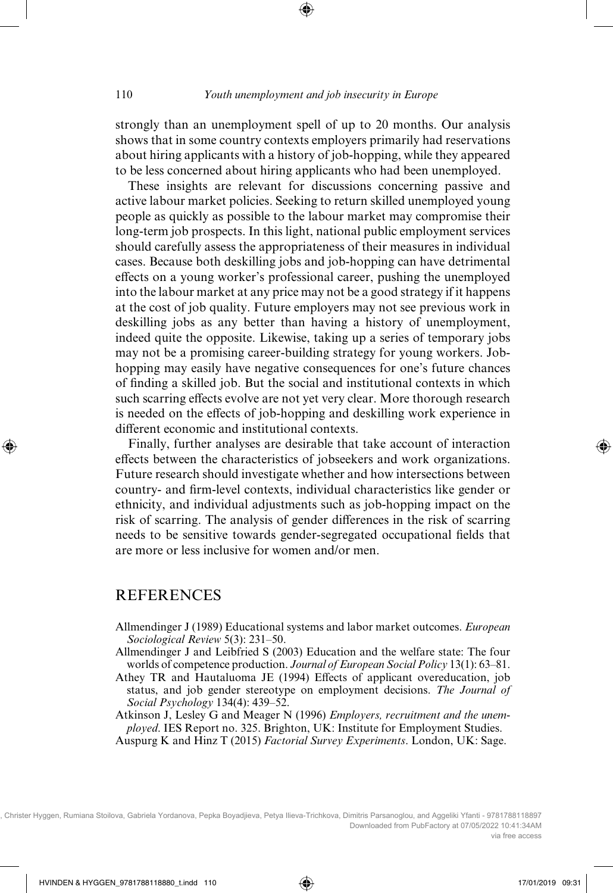strongly than an unemployment spell of up to 20 months. Our analysis shows that in some country contexts employers primarily had reservations about hiring applicants with a history of job-hopping, while they appeared to be less concerned about hiring applicants who had been unemployed.

These insights are relevant for discussions concerning passive and active labour market policies. Seeking to return skilled unemployed young people as quickly as possible to the labour market may compromise their long-term job prospects. In this light, national public employment services should carefully assess the appropriateness of their measures in individual cases. Because both deskilling jobs and job-hopping can have detrimental effects on a young worker's professional career, pushing the unemployed into the labour market at any price may not be a good strategy if it happens at the cost of job quality. Future employers may not see previous work in deskilling jobs as any better than having a history of unemployment, indeed quite the opposite. Likewise, taking up a series of temporary jobs may not be a promising career-building strategy for young workers. Jobhopping may easily have negative consequences for one's future chances of finding a skilled job. But the social and institutional contexts in which such scarring effects evolve are not yet very clear. More thorough research is needed on the effects of job-hopping and deskilling work experience in different economic and institutional contexts.

Finally, further analyses are desirable that take account of interaction effects between the characteristics of jobseekers and work organizations. Future research should investigate whether and how intersections between country- and firm-level contexts, individual characteristics like gender or ethnicity, and individual adjustments such as job-hopping impact on the risk of scarring. The analysis of gender differences in the risk of scarring needs to be sensitive towards gender-segregated occupational fields that are more or less inclusive for women and/or men.

## **REFERENCES**

- Allmendinger J (1989) Educational systems and labor market outcomes. *European Sociological Review* 5(3): 231–50.
- Allmendinger J and Leibfried S (2003) Education and the welfare state: The four worlds of competence production. *Journal of European Social Policy* 13(1): 63–81.
- Athey TR and Hautaluoma JE (1994) Effects of applicant overeducation, job status, and job gender stereotype on employment decisions. *The Journal of Social Psychology* 134(4): 439–52.

Atkinson J, Lesley G and Meager N (1996) *Employers, recruitment and the unemployed*. IES Report no. 325. Brighton, UK: Institute for Employment Studies. Auspurg K and Hinz T (2015) *Factorial Survey Experiments*. London, UK: Sage.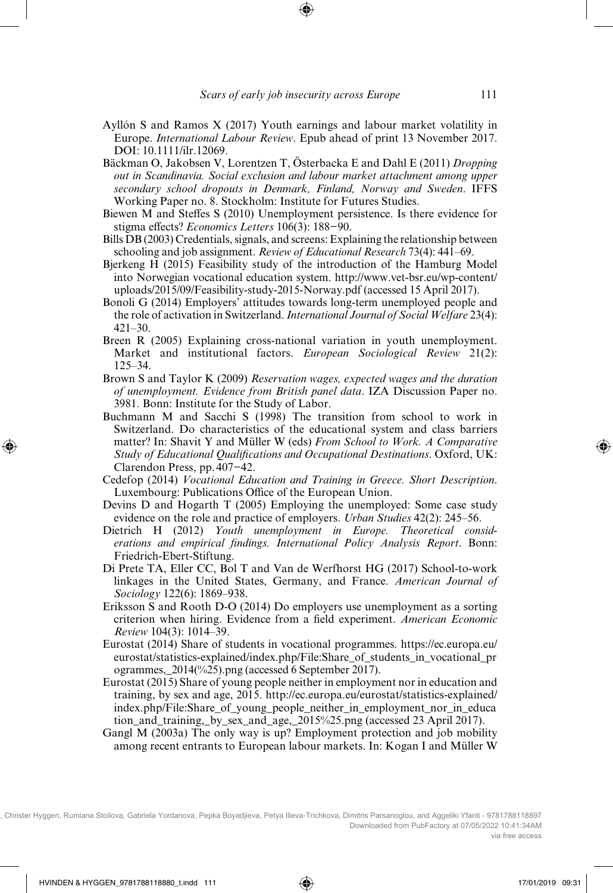- Ayllón S and Ramos X (2017) Youth earnings and labour market volatility in Europe. *International Labour Review*. Epub ahead of print 13 November 2017. DOI: 10.1111/ilr.12069.
- Bäckman O, Jakobsen V, Lorentzen T, Österbacka E and Dahl E (2011) *Dropping out in Scandinavia. Social exclusion and labour market attachment among upper secondary school dropouts in Denmark, Finland, Norway and Sweden*. IFFS Working Paper no. 8. Stockholm: Institute for Futures Studies.
- Biewen M and Steffes S (2010) Unemployment persistence. Is there evidence for stigma effects? *Economics Letters* 106(3): 188−90.
- Bills DB (2003) Credentials, signals, and screens: Explaining the relationship between schooling and job assignment. *Review of Educational Research* 73(4): 441–69.
- Bjerkeng H (2015) Feasibility study of the introduction of the Hamburg Model into Norwegian vocational education system. http://www.vet-bsr.eu/wp-content/ uploads/2015/09/Feasibility-study-2015-Norway.pdf (accessed 15 April 2017).
- Bonoli G (2014) Employers' attitudes towards long-term unemployed people and the role of activation in Switzerland. *International Journal of Social Welfare* 23(4): 421–30.
- Breen R (2005) Explaining cross-national variation in youth unemployment. Market and institutional factors. *European Sociological Review* 21(2): 125–34.
- Brown S and Taylor K (2009) *Reservation wages, expected wages and the duration of unemployment. Evidence from British panel data*. IZA Discussion Paper no. 3981. Bonn: Institute for the Study of Labor.
- Buchmann M and Sacchi S (1998) The transition from school to work in Switzerland. Do characteristics of the educational system and class barriers matter? In: Shavit Y and Müller W (eds) *From School to Work. A Comparative Study of Educational Qualifications and Occupational Destinations*. Oxford, UK: Clarendon Press, pp.407−42.
- Cedefop (2014) *Vocational Education and Training in Greece. Short Description*. Luxembourg: Publications Office of the European Union.
- Devins D and Hogarth T (2005) Employing the unemployed: Some case study evidence on the role and practice of employers. *Urban Studies* 42(2): 245–56.
- Dietrich H (2012) *Youth unemployment in Europe. Theoretical considerations and empirical findings. International Policy Analysis Report*. Bonn: Friedrich-Ebert-Stiftung.
- Di Prete TA, Eller CC, Bol T and Van de Werfhorst HG (2017) School-to-work linkages in the United States, Germany, and France. *American Journal of Sociology* 122(6): 1869–938.
- Eriksson S and Rooth D-O (2014) Do employers use unemployment as a sorting criterion when hiring. Evidence from a field experiment. *American Economic Review* 104(3): 1014–39.
- Eurostat (2014) Share of students in vocational programmes. https://ec.europa.eu/ eurostat/statistics-explained/index.php/File:Share\_of\_students\_in\_vocational\_pr ogrammes,\_2014(%25).png (accessed 6 September 2017).
- Eurostat (2015) Share of young people neither in employment nor in education and training, by sex and age, 2015. http://ec.europa.eu/eurostat/statistics-explained/ index.php/File:Share\_of\_young\_people\_neither\_in\_employment\_nor\_in\_educa tion and training, by sex and age,  $2015\frac{3}{25}$ .png (accessed 23 April 2017).
- Gangl M (2003a) The only way is up? Employment protection and job mobility among recent entrants to European labour markets. In: Kogan I and Müller W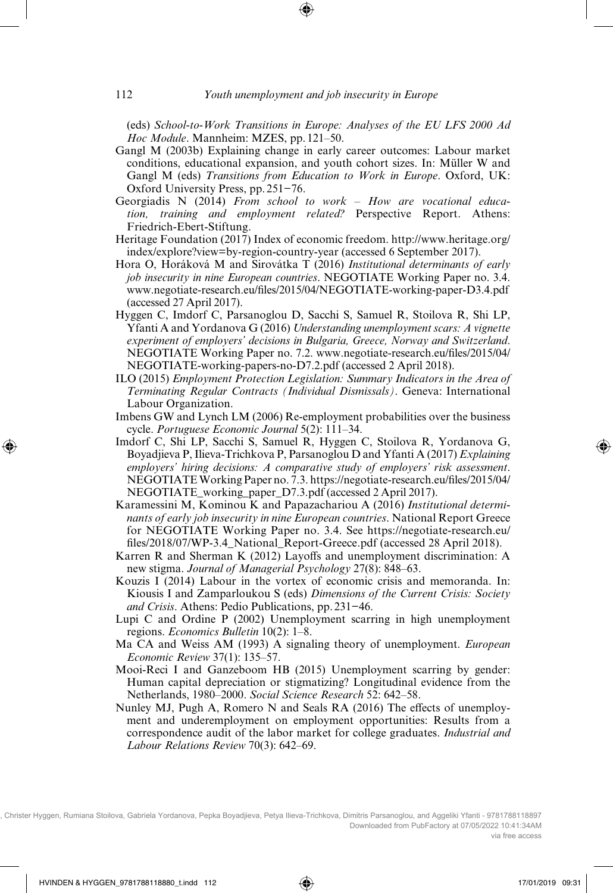(eds) *School-to-Work Transitions in Europe: Analyses of the EU LFS 2000 Ad Hoc Module*. Mannheim: MZES, pp. 121–50.

- Gangl M (2003b) Explaining change in early career outcomes: Labour market conditions, educational expansion, and youth cohort sizes. In: Müller W and Gangl M (eds) *Transitions from Education to Work in Europe*. Oxford, UK: Oxford University Press, pp.251−76.
- Georgiadis N (2014) *From school to work How are vocational education, training and employment related?* Perspective Report. Athens: *tion, training and employment related?* Perspective Report. Athens: Friedrich-Ebert-Stiftung.
- Heritage Foundation (2017) Index of economic freedom. http://www.heritage.org/ index/explore?view=by-region-country-year (accessed 6 September 2017).
- Hora O, Horáková M and Sirovátka T (2016) *Institutional determinants of early job insecurity in nine European countries*. NEGOTIATE Working Paper no. 3.4. www.negotiate-research.eu/files/2015/04/NEGOTIATE-working-paper-D3.4.pdf (accessed 27 April 2017).
- Hyggen C, Imdorf C, Parsanoglou D, Sacchi S, Samuel R, Stoilova R, Shi LP, Yfanti A and Yordanova G (2016) *Understanding unemployment scars: A vignette experiment of employers' decisions in Bulgaria, Greece, Norway and Switzerland*. NEGOTIATE Working Paper no. 7.2. www.negotiate-research.eu/files/2015/04/ NEGOTIATE-working-papers-no-D7.2.pdf (accessed 2 April 2018).
- ILO (2015) *Employment Protection Legislation: Summary Indicators in the Area of Terminating Regular Contracts (Individual Dismissals)*. Geneva: International Labour Organization.
- Imbens GW and Lynch LM (2006) Re-employment probabilities over the business cycle. *Portuguese Economic Journal* 5(2): 111–34.
- Imdorf C, Shi LP, Sacchi S, Samuel R, Hyggen C, Stoilova R, Yordanova G, Boyadjieva P, Ilieva-Trichkova P, Parsanoglou D and Yfanti A (2017) *Explaining employers' hiring decisions: A comparative study of employers' risk assessment*. NEGOTIATE Working Paper no. 7.3. https://negotiate-research.eu/files/2015/04/ NEGOTIATE\_working\_paper\_D7.3.pdf (accessed 2 April 2017).
- Karamessini M, Kominou K and Papazachariou A (2016) *Institutional determinants of early job insecurity in nine European countries*. National Report Greece for NEGOTIATE Working Paper no. 3.4. See https://negotiate-research.eu/ files/2018/07/WP-3.4\_National\_Report-Greece.pdf (accessed 28 April 2018).
- Karren R and Sherman K (2012) Layoffs and unemployment discrimination: A new stigma. *Journal of Managerial Psychology* 27(8): 848–63.
- Kouzis I (2014) Labour in the vortex of economic crisis and memoranda. In: Kiousis I and Zamparloukou S (eds) *Dimensions of the Current Crisis: Society and Crisis*. Athens: Pedio Publications, pp. 231−46.
- Lupi C and Ordine P (2002) Unemployment scarring in high unemployment regions. *Economics Bulletin* 10(2): 1–8.
- Ma CA and Weiss AM (1993) A signaling theory of unemployment. *European Economic Review* 37(1): 135–57.
- Mooi-Reci I and Ganzeboom HB (2015) Unemployment scarring by gender: Human capital depreciation or stigmatizing? Longitudinal evidence from the Netherlands, 1980–2000. *Social Science Research* 52: 642–58.
- Nunley MJ, Pugh A, Romero N and Seals RA (2016) The effects of unemployment and underemployment on employment opportunities: Results from a correspondence audit of the labor market for college graduates. *Industrial and Labour Relations Review* 70(3): 642–69.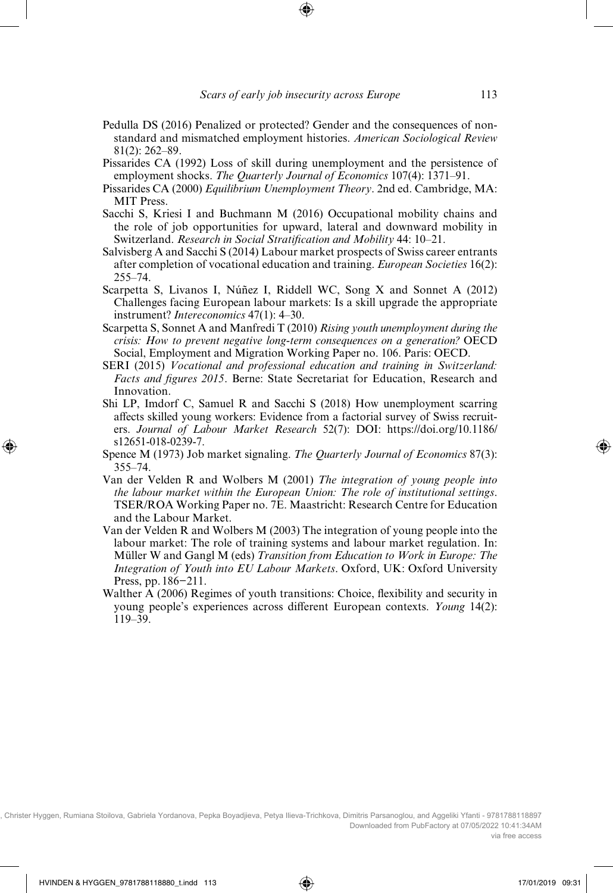- Pedulla DS (2016) Penalized or protected? Gender and the consequences of nonstandard and mismatched employment histories. *American Sociological Review* 81(2): 262–89.
- Pissarides CA (1992) Loss of skill during unemployment and the persistence of employment shocks. *The Quarterly Journal of Economics* 107(4): 1371–91.
- Pissarides CA (2000) *Equilibrium Unemployment Theory*. 2nd ed. Cambridge, MA: MIT Press.
- Sacchi S, Kriesi I and Buchmann M (2016) Occupational mobility chains and the role of job opportunities for upward, lateral and downward mobility in Switzerland. *Research in Social Stratification and Mobility* 44: 10–21.
- Salvisberg A and Sacchi S (2014) Labour market prospects of Swiss career entrants after completion of vocational education and training. *European Societies* 16(2): 255–74.
- Scarpetta S, Livanos I, Núñez I, Riddell WC, Song X and Sonnet A (2012) Challenges facing European labour markets: Is a skill upgrade the appropriate instrument? *Intereconomics* 47(1): 4–30.
- Scarpetta S, Sonnet A and Manfredi T (2010) *Rising youth unemployment during the crisis: How to prevent negative long-term consequences on a generation?* OECD Social, Employment and Migration Working Paper no. 106. Paris: OECD.
- SERI (2015) *Vocational and professional education and training in Switzerland: Facts and figures 2015*. Berne: State Secretariat for Education, Research and Innovation.
- Shi LP, Imdorf C, Samuel R and Sacchi S (2018) How unemployment scarring affects skilled young workers: Evidence from a factorial survey of Swiss recruiters. *Journal of Labour Market Research* 52(7): DOI: https://doi.org/10.1186/ s12651-018-0239-7.
- Spence M (1973) Job market signaling. *The Quarterly Journal of Economics* 87(3): 355–74.
- Van der Velden R and Wolbers M (2001) *The integration of young people into the labour market within the European Union: The role of institutional settings*. TSER/ROA Working Paper no. 7E. Maastricht: Research Centre for Education and the Labour Market.
- Van der Velden R and Wolbers M (2003) The integration of young people into the labour market: The role of training systems and labour market regulation. In: Müller W and Gangl M (eds) *Transition from Education to Work in Europe: The Integration of Youth into EU Labour Markets*. Oxford, UK: Oxford University Press, pp. 186−211.
- Walther A (2006) Regimes of youth transitions: Choice, flexibility and security in young people's experiences across different European contexts. *Young* 14(2): 119–39.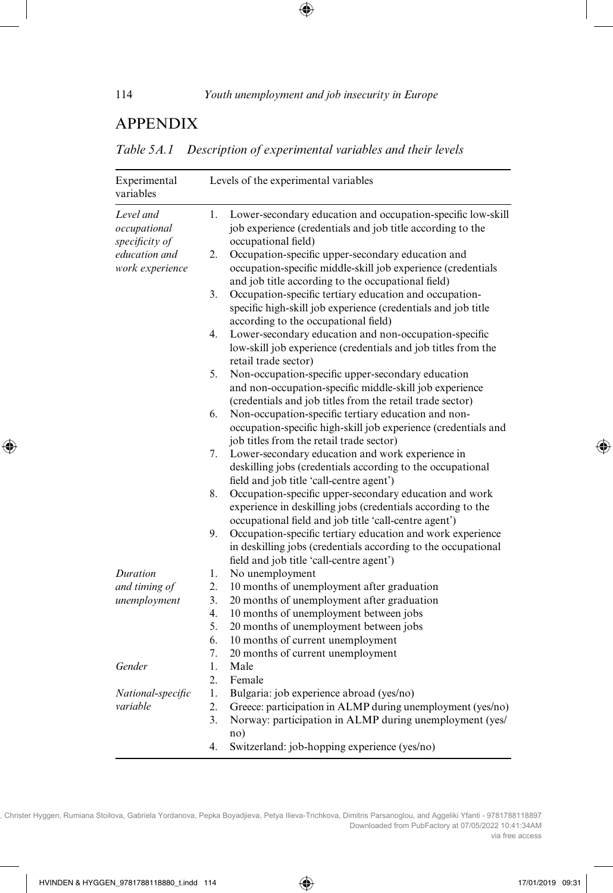# APPENDIX

| Experimental<br>variables                   | Levels of the experimental variables                                                                                                                                                 |  |  |  |
|---------------------------------------------|--------------------------------------------------------------------------------------------------------------------------------------------------------------------------------------|--|--|--|
| Level and<br>occupational<br>specificity of | Lower-secondary education and occupation-specific low-skill<br>1.<br>job experience (credentials and job title according to the<br>occupational field)                               |  |  |  |
| education and<br>work experience            | 2.<br>Occupation-specific upper-secondary education and<br>occupation-specific middle-skill job experience (credentials<br>and job title according to the occupational field)        |  |  |  |
|                                             | Occupation-specific tertiary education and occupation-<br>3.<br>specific high-skill job experience (credentials and job title<br>according to the occupational field)                |  |  |  |
|                                             | Lower-secondary education and non-occupation-specific<br>4.<br>low-skill job experience (credentials and job titles from the<br>retail trade sector)                                 |  |  |  |
|                                             | Non-occupation-specific upper-secondary education<br>5.<br>and non-occupation-specific middle-skill job experience<br>(credentials and job titles from the retail trade sector)      |  |  |  |
|                                             | Non-occupation-specific tertiary education and non-<br>6.<br>occupation-specific high-skill job experience (credentials and<br>job titles from the retail trade sector)              |  |  |  |
|                                             | Lower-secondary education and work experience in<br>7.<br>deskilling jobs (credentials according to the occupational<br>field and job title 'call-centre agent')                     |  |  |  |
|                                             | 8.<br>Occupation-specific upper-secondary education and work<br>experience in deskilling jobs (credentials according to the<br>occupational field and job title 'call-centre agent') |  |  |  |
|                                             | Occupation-specific tertiary education and work experience<br>9.<br>in deskilling jobs (credentials according to the occupational<br>field and job title 'call-centre agent')        |  |  |  |
| Duration                                    | No unemployment<br>1.                                                                                                                                                                |  |  |  |
| and timing of                               | 10 months of unemployment after graduation<br>2.                                                                                                                                     |  |  |  |
| unemployment                                | 20 months of unemployment after graduation<br>3.                                                                                                                                     |  |  |  |
|                                             | 4.<br>10 months of unemployment between jobs                                                                                                                                         |  |  |  |
|                                             | 5.<br>20 months of unemployment between jobs                                                                                                                                         |  |  |  |
|                                             | 10 months of current unemployment<br>6.                                                                                                                                              |  |  |  |
|                                             | 20 months of current unemployment<br>7.                                                                                                                                              |  |  |  |
| Gender                                      | 1.<br>Male                                                                                                                                                                           |  |  |  |
|                                             | 2.<br>Female                                                                                                                                                                         |  |  |  |
| National-specific                           | 1.<br>Bulgaria: job experience abroad (yes/no)                                                                                                                                       |  |  |  |
| variable                                    | 2.<br>Greece: participation in ALMP during unemployment (yes/no)                                                                                                                     |  |  |  |
|                                             | 3.<br>Norway: participation in ALMP during unemployment (yes/<br>no)                                                                                                                 |  |  |  |
|                                             | Switzerland: job-hopping experience (yes/no)<br>4.                                                                                                                                   |  |  |  |

*Table 5A.1 Description of experimental variables and their levels*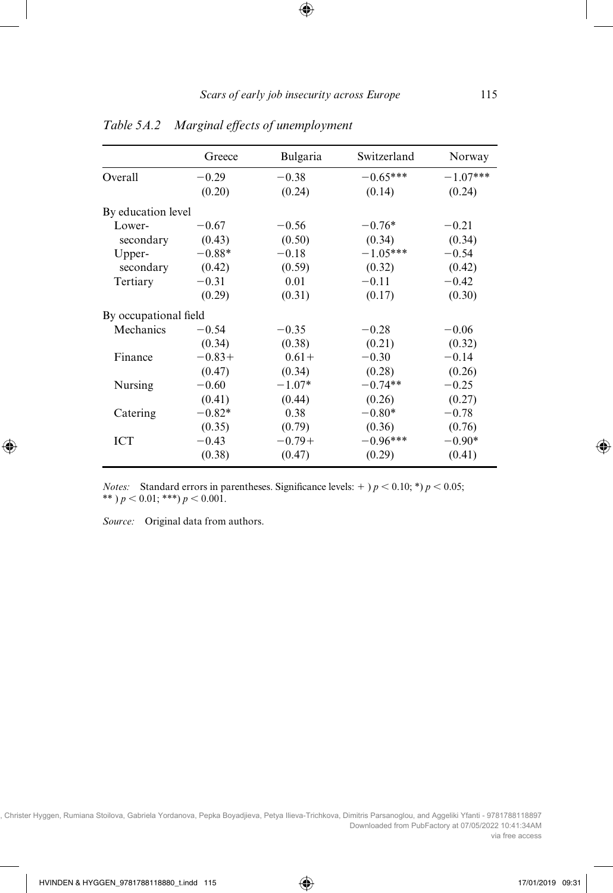|                       | Greece   | <b>Bulgaria</b> | Switzerland | Norway     |  |  |
|-----------------------|----------|-----------------|-------------|------------|--|--|
| Overall               | $-0.29$  | $-0.38$         | $-0.65***$  | $-1.07***$ |  |  |
|                       | (0.20)   | (0.24)          | (0.14)      | (0.24)     |  |  |
| By education level    |          |                 |             |            |  |  |
| Lower-                | $-0.67$  | $-0.56$         | $-0.76*$    | $-0.21$    |  |  |
| secondary             | (0.43)   | (0.50)          | (0.34)      | (0.34)     |  |  |
| Upper-                | $-0.88*$ | $-0.18$         | $-1.05***$  | $-0.54$    |  |  |
| secondary             | (0.42)   | (0.59)          | (0.32)      | (0.42)     |  |  |
| Tertiary              | $-0.31$  | 0.01            | $-0.11$     | $-0.42$    |  |  |
|                       | (0.29)   | (0.31)          | (0.17)      | (0.30)     |  |  |
| By occupational field |          |                 |             |            |  |  |
| Mechanics             | $-0.54$  | $-0.35$         | $-0.28$     | $-0.06$    |  |  |
|                       | (0.34)   | (0.38)          | (0.21)      | (0.32)     |  |  |
| Finance               | $-0.83+$ | $0.61+$         | $-0.30$     | $-0.14$    |  |  |
|                       | (0.47)   | (0.34)          | (0.28)      | (0.26)     |  |  |
| Nursing               | $-0.60$  | $-1.07*$        | $-0.74**$   | $-0.25$    |  |  |
|                       | (0.41)   | (0.44)          | (0.26)      | (0.27)     |  |  |
| Catering              | $-0.82*$ | 0.38            | $-0.80*$    | $-0.78$    |  |  |
|                       | (0.35)   | (0.79)          | (0.36)      | (0.76)     |  |  |
| <b>ICT</b>            | $-0.43$  | $-0.79+$        | $-0.96***$  | $-0.90*$   |  |  |
|                       | (0.38)   | (0.47)          | (0.29)      | (0.41)     |  |  |

*Table 5A.2 Marginal effects of unemployment*

*Notes:* Standard errors in parentheses. Significance levels: +  $p < 0.10$ ; \*)  $p < 0.05$ ; \*\*)  $p < 0.01$ ; \*\*\*)  $p < 0.001$ .

*Source:* Original data from authors.